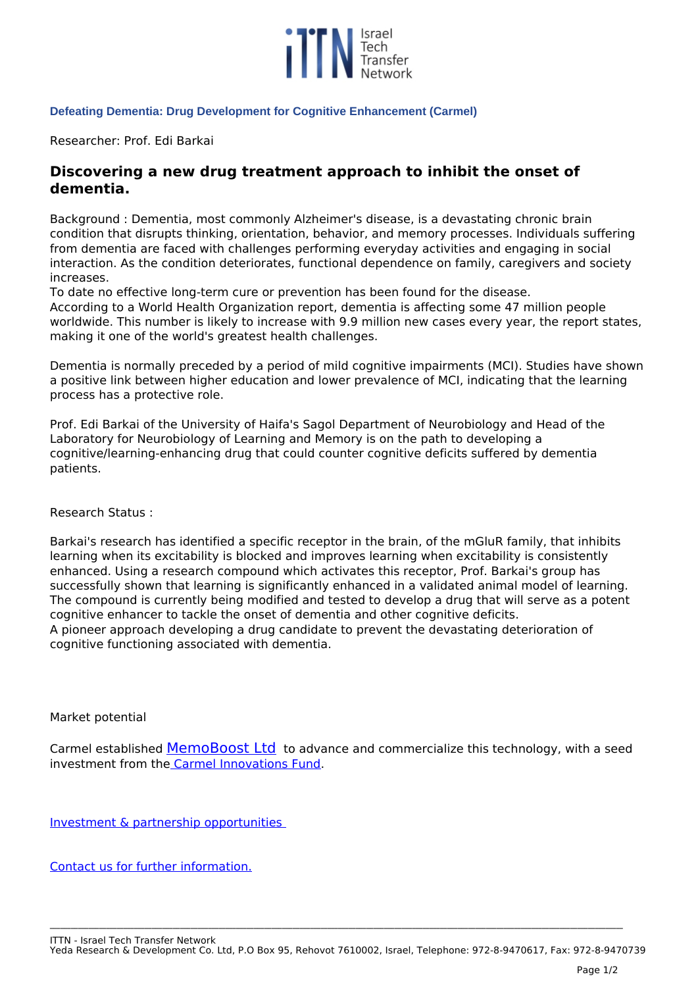

## **Defeating Dementia: Drug Development for Cognitive Enhancement (Carmel)**

*Researcher: Prof. Edi Barkai* 

## **Discovering a new drug treatment approach to inhibit the onset of dementia.**

*Background : Dementia, most commonly Alzheimer's disease, is a devastating chronic brain condition that disrupts thinking, orientation, behavior, and memory processes. Individuals suffering from dementia are faced with challenges performing everyday activities and engaging in social interaction. As the condition deteriorates, functional dependence on family, caregivers and society increases.*

*To date no effective long-term cure or prevention has been found for the disease.*

*According to a World Health Organization report, dementia is affecting some 47 million people worldwide. This number is likely to increase with 9.9 million new cases every year, the report states, making it one of the world's greatest health challenges.* 

*Dementia is normally preceded by a period of mild cognitive impairments (MCI). Studies have shown a positive link between higher education and lower prevalence of MCI, indicating that the learning process has a protective role.* 

*Prof. Edi Barkai of the University of Haifa's Sagol Department of Neurobiology and Head of the Laboratory for Neurobiology of Learning and Memory is on the path to developing a cognitive/learning-enhancing drug that could counter cognitive deficits suffered by dementia patients.* 

*Research Status :*

*Barkai's research has identified a specific receptor in the brain, of the mGluR family, that inhibits learning when its excitability is blocked and improves learning when excitability is consistently enhanced. Using a research compound which activates this receptor, Prof. Barkai's group has successfully shown that learning is significantly enhanced in a validated animal model of learning. The compound is currently being modified and tested to develop a drug that will serve as a potent cognitive enhancer to tackle the onset of dementia and other cognitive deficits. A pioneer approach developing a drug candidate to prevent the devastating deterioration of cognitive functioning associated with dementia.*

*Market potential*

*Carmel established [MemoBoost Ltd](index.php/carmel-innovation-fund/189-memoboost-ltd) to advance and commercialize this technology, with a seed investment from th[e Carmel Innovations Fund.](index.php/carmel-innovation-fund)*

*[Investment & partnership opportunities](index.php/carmel-innovation-fund/investment-opportunities)*

*[Contact us for further information.](mailto:Carmel@univ.haifa.ac.il?cc=Ezioni@univ.haifa.ac.il&subject=Defeating%20Dementia:%20Drug%20Development%20for%20Cognitive%20Enhancement)*

**\_\_\_\_\_\_\_\_\_\_\_\_\_\_\_\_\_\_\_\_\_\_\_\_\_\_\_\_\_\_\_\_\_\_\_\_\_\_\_\_\_\_\_\_\_\_\_\_\_\_\_\_\_\_\_\_\_\_\_\_\_\_\_\_\_\_\_\_\_\_\_\_\_\_\_\_\_\_\_\_\_\_\_\_\_\_\_\_\_\_\_\_\_\_\_\_\_\_\_\_\_\_\_\_\_\_\_\_\_\_\_\_\_\_\_\_\_\_\_\_\_\_\_\_\_\_\_\_\_\_\_\_\_\_\_\_\_\_\_\_\_\_\_\_\_\_\_\_\_\_\_\_\_\_\_\_\_\_\_\_\_\_\_**